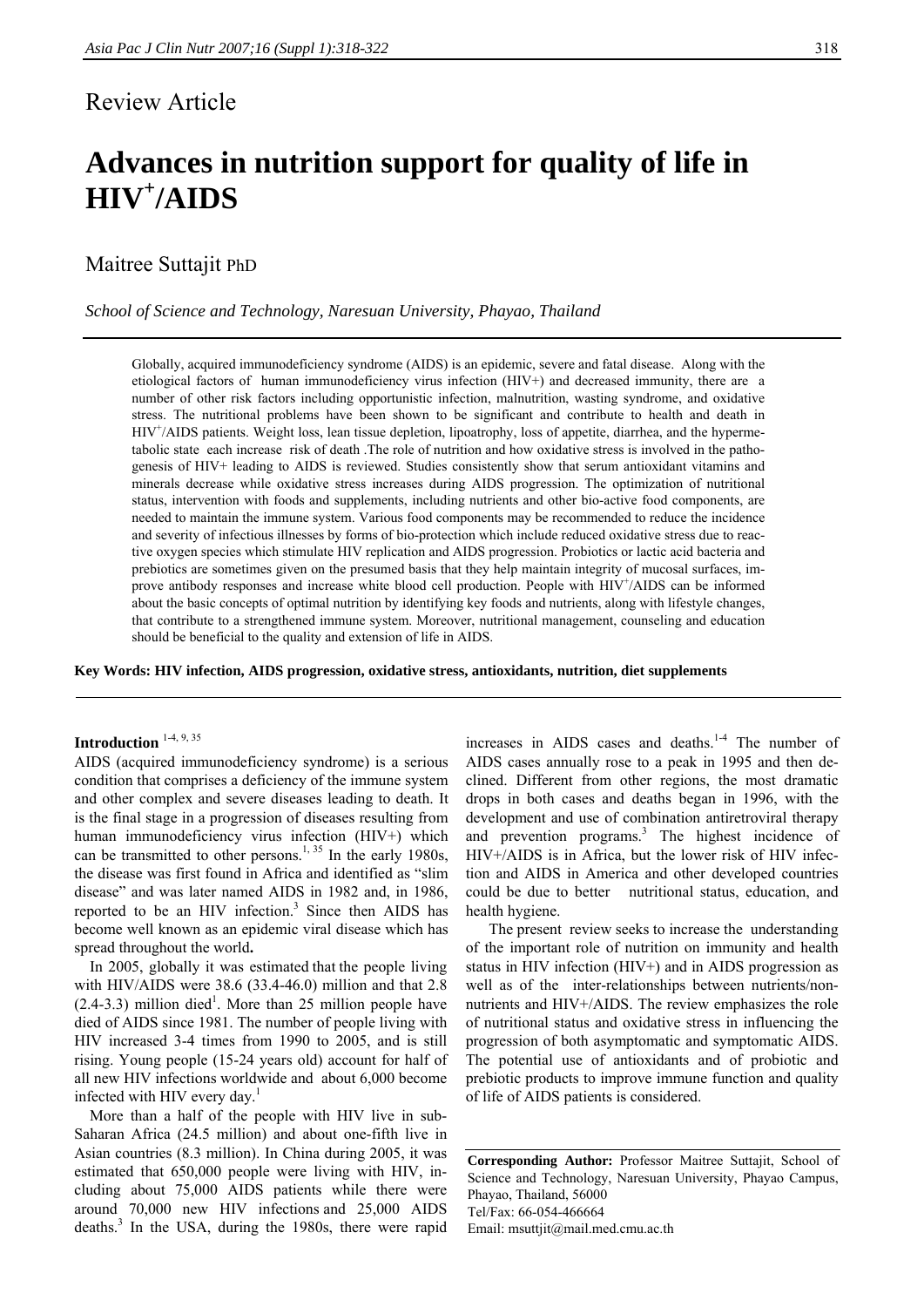## Review Article

# **Advances in nutrition support for quality of life in HIV+ /AIDS**

## Maitree Suttajit PhD

*School of Science and Technology, Naresuan University, Phayao, Thailand* 

Globally, acquired immunodeficiency syndrome (AIDS) is an epidemic, severe and fatal disease. Along with the etiological factors of human immunodeficiency virus infection (HIV+) and decreased immunity, there are a number of other risk factors including opportunistic infection, malnutrition, wasting syndrome, and oxidative stress. The nutritional problems have been shown to be significant and contribute to health and death in HIV+ /AIDS patients. Weight loss, lean tissue depletion, lipoatrophy, loss of appetite, diarrhea, and the hypermetabolic state each increase risk of death .The role of nutrition and how oxidative stress is involved in the pathogenesis of HIV+ leading to AIDS is reviewed. Studies consistently show that serum antioxidant vitamins and minerals decrease while oxidative stress increases during AIDS progression. The optimization of nutritional status, intervention with foods and supplements, including nutrients and other bio-active food components, are needed to maintain the immune system. Various food components may be recommended to reduce the incidence and severity of infectious illnesses by forms of bio-protection which include reduced oxidative stress due to reactive oxygen species which stimulate HIV replication and AIDS progression. Probiotics or lactic acid bacteria and prebiotics are sometimes given on the presumed basis that they help maintain integrity of mucosal surfaces, improve antibody responses and increase white blood cell production. People with HIV+/AIDS can be informed about the basic concepts of optimal nutrition by identifying key foods and nutrients, along with lifestyle changes, that contribute to a strengthened immune system. Moreover, nutritional management, counseling and education should be beneficial to the quality and extension of life in AIDS.

**Key Words: HIV infection, AIDS progression, oxidative stress, antioxidants, nutrition, diet supplements** 

### **Introduction** 1-4, 9, 35

AIDS (acquired immunodeficiency syndrome) is a serious condition that comprises a deficiency of the immune system and other complex and severe diseases leading to death. It is the final stage in a progression of diseases resulting from human immunodeficiency virus infection (HIV+) which can be transmitted to other persons.<sup>1, 35</sup> In the early 1980s, the disease was first found in Africa and identified as "slim disease" and was later named AIDS in 1982 and, in 1986, reported to be an HIV infection.<sup>3</sup> Since then AIDS has become well known as an epidemic viral disease which has spread throughout the world**.** 

In 2005, globally it was estimated that the people living with HIV/AIDS were 38.6 (33.4-46.0) million and that 2.8  $(2.4-3.3)$  million died<sup>1</sup>. More than 25 million people have died of AIDS since 1981. The number of people living with HIV increased 3-4 times from 1990 to 2005, and is still rising. Young people (15-24 years old) account for half of all new HIV infections worldwide and about 6,000 become infected with HIV every day. $<sup>1</sup>$ </sup>

More than a half of the people with HIV live in sub-Saharan Africa (24.5 million) and about one-fifth live in Asian countries (8.3 million). In China during 2005, it was estimated that 650,000 people were living with HIV, including about 75,000 AIDS patients while there were around 70,000 new HIV infections and 25,000 AIDS deaths.<sup>3</sup> In the USA, during the 1980s, there were rapid increases in AIDS cases and deaths.<sup>1-4</sup> The number of AIDS cases annually rose to a peak in 1995 and then declined. Different from other regions, the most dramatic drops in both cases and deaths began in 1996, with the development and use of combination antiretroviral therapy and prevention programs.<sup>3</sup> The highest incidence of HIV+/AIDS is in Africa, but the lower risk of HIV infection and AIDS in America and other developed countries could be due to better nutritional status, education, and health hygiene.

The present review seeks to increase the understanding of the important role of nutrition on immunity and health status in HIV infection (HIV+) and in AIDS progression as well as of the inter-relationships between nutrients/nonnutrients and HIV+/AIDS. The review emphasizes the role of nutritional status and oxidative stress in influencing the progression of both asymptomatic and symptomatic AIDS. The potential use of antioxidants and of probiotic and prebiotic products to improve immune function and quality of life of AIDS patients is considered.

**Corresponding Author:** Professor Maitree Suttajit, School of Science and Technology, Naresuan University, Phayao Campus, Phayao, Thailand, 56000 Tel/Fax: 66-054-466664 Email: msuttjit@mail.med.cmu.ac.th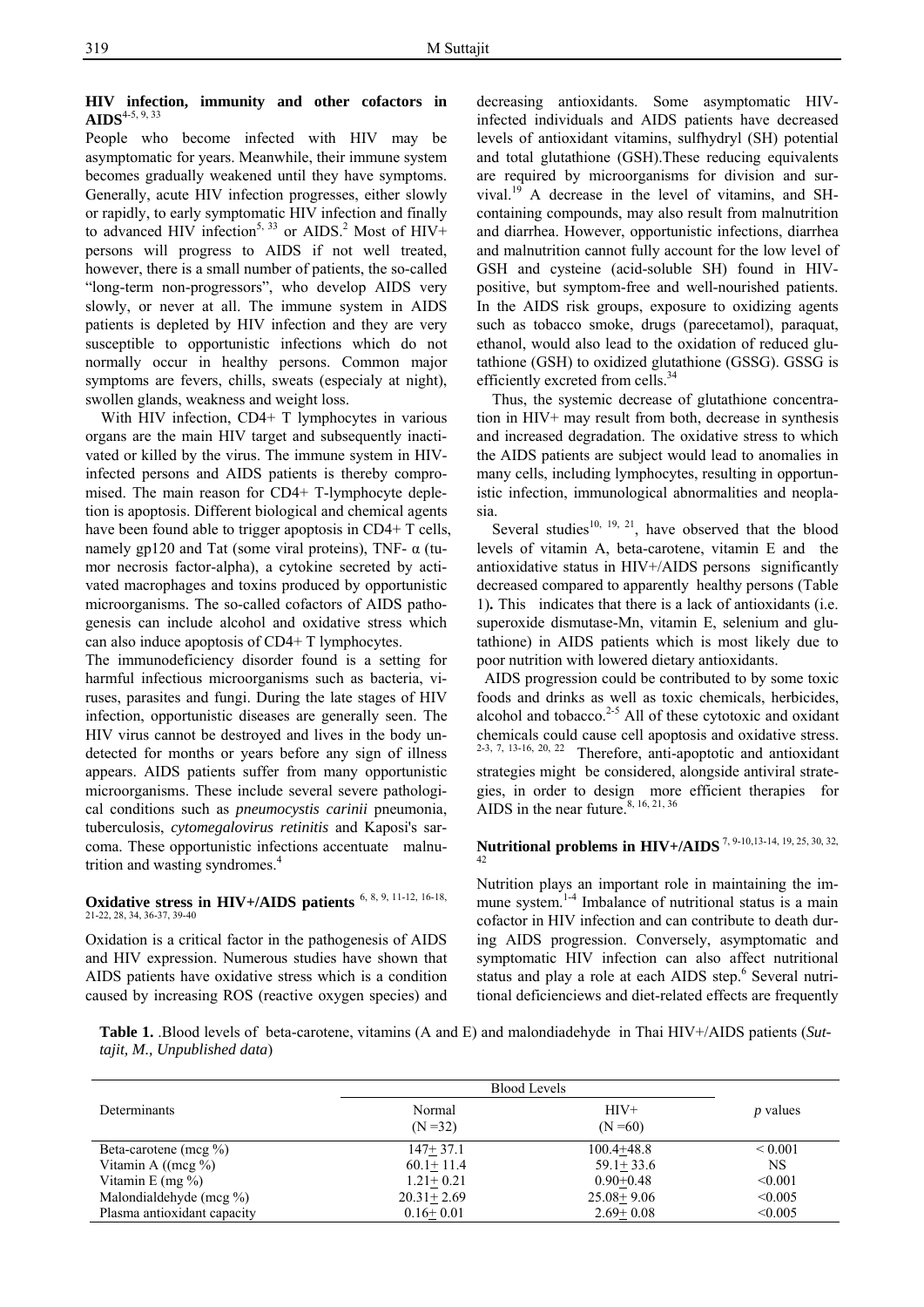#### **HIV infection, immunity and other cofactors in AIDS**4-5, 9, 33

People who become infected with HIV may be asymptomatic for years. Meanwhile, their immune system becomes gradually weakened until they have symptoms. Generally, acute HIV infection progresses, either slowly or rapidly, to early symptomatic HIV infection and finally to advanced HIV infection<sup>5, 33</sup> or AIDS.<sup>2</sup> Most of HIV+ persons will progress to AIDS if not well treated, however, there is a small number of patients, the so-called "long-term non-progressors", who develop AIDS very slowly, or never at all. The immune system in AIDS patients is depleted by HIV infection and they are very susceptible to opportunistic infections which do not normally occur in healthy persons. Common major symptoms are fevers, chills, sweats (especialy at night), swollen glands, weakness and weight loss.

With HIV infection, CD4+ T lymphocytes in various organs are the main HIV target and subsequently inactivated or killed by the virus. The immune system in HIVinfected persons and AIDS patients is thereby compromised. The main reason for CD4+ T-lymphocyte depletion is apoptosis. Different biological and chemical agents have been found able to trigger apoptosis in CD4+ T cells, namely gp120 and Tat (some viral proteins), TNF-  $\alpha$  (tumor necrosis factor-alpha), a cytokine secreted by activated macrophages and toxins produced by opportunistic microorganisms. The so-called cofactors of AIDS pathogenesis can include alcohol and oxidative stress which can also induce apoptosis of CD4+ T lymphocytes.

The immunodeficiency disorder found is a setting for harmful infectious microorganisms such as bacteria, viruses, parasites and fungi. During the late stages of HIV infection, opportunistic diseases are generally seen. The HIV virus cannot be destroyed and lives in the body undetected for months or years before any sign of illness appears. AIDS patients suffer from many opportunistic microorganisms. These include several severe pathological conditions such as *pneumocystis carinii* pneumonia, tuberculosis, *cytomegalovirus retinitis* and Kaposi's sarcoma. These opportunistic infections accentuate malnutrition and wasting syndromes.<sup>4</sup>

### **Oxidative stress in HIV+/AIDS patients** 6, 8, 9, 11-12, 16-18, 21-22, 28, 34, 36-37, 39-40

Oxidation is a critical factor in the pathogenesis of AIDS and HIV expression. Numerous studies have shown that AIDS patients have oxidative stress which is a condition caused by increasing ROS (reactive oxygen species) and

decreasing antioxidants. Some asymptomatic HIVinfected individuals and AIDS patients have decreased levels of antioxidant vitamins, sulfhydryl (SH) potential and total glutathione (GSH).These reducing equivalents are required by microorganisms for division and survival.19 A decrease in the level of vitamins, and SHcontaining compounds, may also result from malnutrition and diarrhea. However, opportunistic infections, diarrhea and malnutrition cannot fully account for the low level of GSH and cysteine (acid-soluble SH) found in HIVpositive, but symptom-free and well-nourished patients. In the AIDS risk groups, exposure to oxidizing agents such as tobacco smoke, drugs (parecetamol), paraquat, ethanol, would also lead to the oxidation of reduced glutathione (GSH) to oxidized glutathione (GSSG). GSSG is efficiently excreted from cells.<sup>34</sup>

Thus, the systemic decrease of glutathione concentration in HIV+ may result from both, decrease in synthesis and increased degradation. The oxidative stress to which the AIDS patients are subject would lead to anomalies in many cells, including lymphocytes, resulting in opportunistic infection, immunological abnormalities and neoplasia.

Several studies<sup>10, 19, 21</sup>, have observed that the blood levels of vitamin A, beta-carotene, vitamin E and the antioxidative status in HIV+/AIDS persons significantly decreased compared to apparently healthy persons (Table 1)**.** This indicates that there is a lack of antioxidants (i.e. superoxide dismutase-Mn, vitamin E, selenium and glutathione) in AIDS patients which is most likely due to poor nutrition with lowered dietary antioxidants.

 AIDS progression could be contributed to by some toxic foods and drinks as well as toxic chemicals, herbicides, alcohol and tobacco. $2-5$  All of these cytotoxic and oxidant chemicals could cause cell apoptosis and oxidative stress. 2-3, 7, 13-16, 20, 22 Therefore, anti-apoptotic and antioxidant strategies might be considered, alongside antiviral strategies, in order to design more efficient therapies for AIDS in the near future.<sup>8, 16, 21, 36</sup>

## **Nutritional problems in HIV+/AIDS**<sup>7, 9-10,13-14, 19, 25, 30, 32, 42</sup>

Nutrition plays an important role in maintaining the immune system.<sup>1-4</sup> Imbalance of nutritional status is a main cofactor in HIV infection and can contribute to death during AIDS progression. Conversely, asymptomatic and symptomatic HIV infection can also affect nutritional status and play a role at each AIDS step.<sup>6</sup> Several nutritional deficienciews and diet-related effects are frequently

**Table 1.** .Blood levels of beta-carotene, vitamins (A and E) and malondiadehyde in Thai HIV+/AIDS patients (*Suttajit, M., Unpublished data*)

|                              | Blood Levels         |                      |                 |
|------------------------------|----------------------|----------------------|-----------------|
| Determinants                 | Normal<br>$(N = 32)$ | $HIV+$<br>$(N = 60)$ | <i>p</i> values |
| Beta-carotene (mcg $\%$ )    | $147+37.1$           | $100.4 + 48.8$       | ${}_{0.001}$    |
| Vitamin A $((\text{mcg }\%)$ | $60.1 + 11.4$        | $59.1 + 33.6$        | NS.             |
| Vitamin E (mg $\%$ )         | $1.21 + 0.21$        | $0.90 + 0.48$        | < 0.001         |
| Malondialdehyde (mcg $\%$ )  | $20.31 + 2.69$       | $25.08 + 9.06$       | < 0.005         |
| Plasma antioxidant capacity  | $0.16 + 0.01$        | $2.69 + 0.08$        | < 0.005         |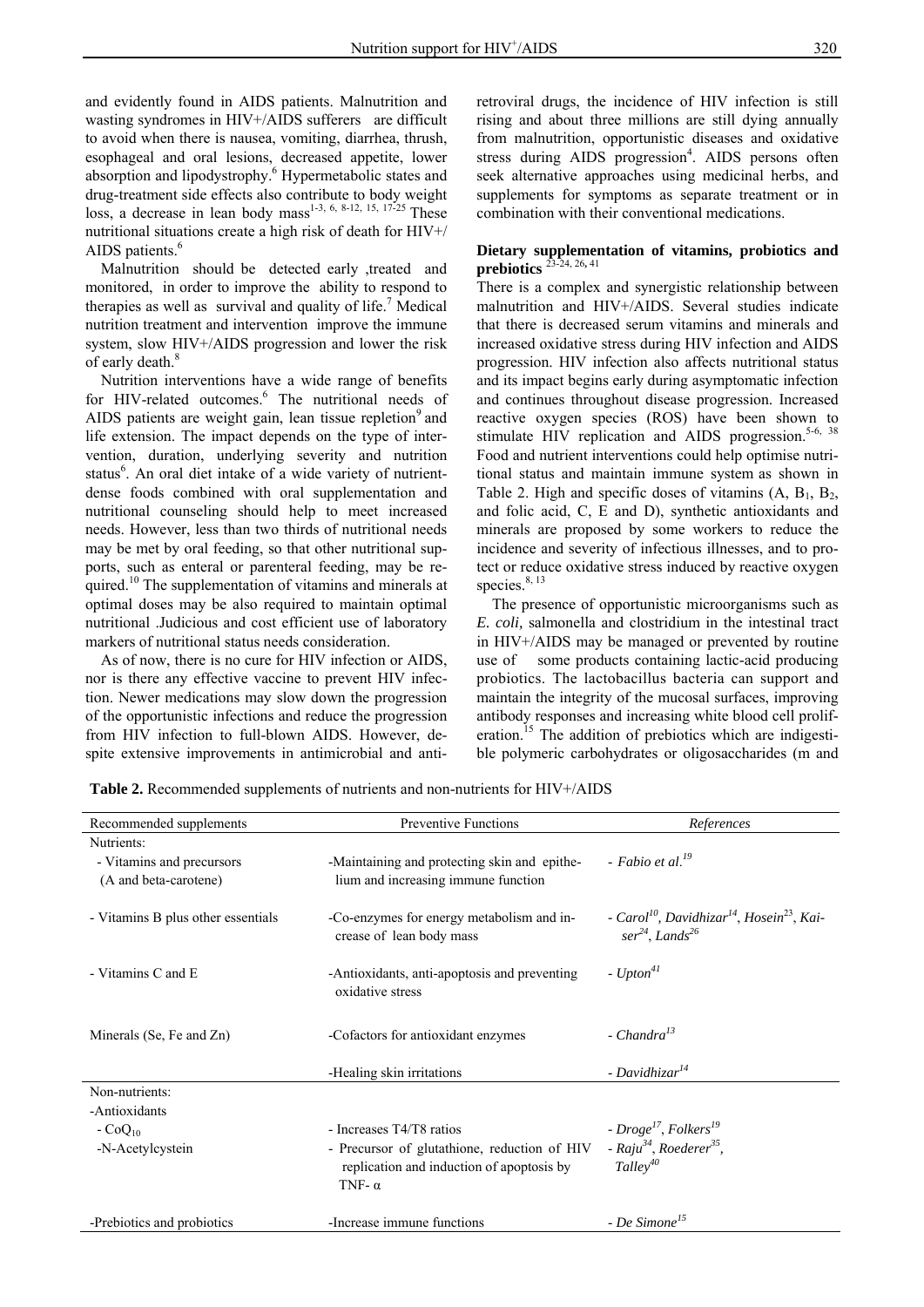and evidently found in AIDS patients. Malnutrition and wasting syndromes in HIV+/AIDS sufferers are difficult to avoid when there is nausea, vomiting, diarrhea, thrush, esophageal and oral lesions, decreased appetite, lower absorption and lipodystrophy.<sup>6</sup> Hypermetabolic states and drug-treatment side effects also contribute to body weight loss, a decrease in lean body mass<sup>1-3, 6, 8-12, 15, 17-25</sup> These nutritional situations create a high risk of death for HIV+/ AIDS patients.<sup>6</sup>

Malnutrition should be detected early treated and monitored, in order to improve the ability to respond to therapies as well as survival and quality of life.<sup>7</sup> Medical nutrition treatment and intervention improve the immune system, slow HIV+/AIDS progression and lower the risk of early death.<sup>8</sup>

Nutrition interventions have a wide range of benefits for HIV-related outcomes.<sup>6</sup> The nutritional needs of AIDS patients are weight gain, lean tissue repletion<sup>9</sup> and life extension. The impact depends on the type of intervention, duration, underlying severity and nutrition status<sup>6</sup>. An oral diet intake of a wide variety of nutrientdense foods combined with oral supplementation and nutritional counseling should help to meet increased needs. However, less than two thirds of nutritional needs may be met by oral feeding, so that other nutritional supports, such as enteral or parenteral feeding, may be required.<sup>10</sup> The supplementation of vitamins and minerals at optimal doses may be also required to maintain optimal nutritional .Judicious and cost efficient use of laboratory markers of nutritional status needs consideration.

As of now, there is no cure for HIV infection or AIDS, nor is there any effective vaccine to prevent HIV infection. Newer medications may slow down the progression of the opportunistic infections and reduce the progression from HIV infection to full-blown AIDS. However, despite extensive improvements in antimicrobial and anti-

retroviral drugs, the incidence of HIV infection is still rising and about three millions are still dying annually from malnutrition, opportunistic diseases and oxidative stress during AIDS progression<sup>4</sup>. AIDS persons often seek alternative approaches using medicinal herbs, and supplements for symptoms as separate treatment or in combination with their conventional medications.

#### **Dietary supplementation of vitamins, probiotics and prebiotics** 23-24, 26**,** <sup>41</sup>

There is a complex and synergistic relationship between malnutrition and HIV+/AIDS. Several studies indicate that there is decreased serum vitamins and minerals and increased oxidative stress during HIV infection and AIDS progression. HIV infection also affects nutritional status and its impact begins early during asymptomatic infection and continues throughout disease progression. Increased reactive oxygen species (ROS) have been shown to stimulate HIV replication and AIDS progression.<sup>5-6, 38</sup> Food and nutrient interventions could help optimise nutritional status and maintain immune system as shown in Table 2. High and specific doses of vitamins  $(A, B<sub>1</sub>, B<sub>2</sub>)$ , and folic acid, C, E and D), synthetic antioxidants and minerals are proposed by some workers to reduce the incidence and severity of infectious illnesses, and to protect or reduce oxidative stress induced by reactive oxygen species. $8, 13$ 

The presence of opportunistic microorganisms such as *E. coli,* salmonella and clostridium in the intestinal tract in HIV+/AIDS may be managed or prevented by routine use of some products containing lactic-acid producing probiotics. The lactobacillus bacteria can support and maintain the integrity of the mucosal surfaces, improving antibody responses and increasing white blood cell proliferation.<sup>15</sup> The addition of prebiotics which are indigestible polymeric carbohydrates or oligosaccharides (m and

| Table 2. Recommended supplements of nutrients and non-nutrients for HIV+/AIDS |  |  |  |  |
|-------------------------------------------------------------------------------|--|--|--|--|
|-------------------------------------------------------------------------------|--|--|--|--|

| Recommended supplements            | <b>Preventive Functions</b>                  | References                                                                     |  |
|------------------------------------|----------------------------------------------|--------------------------------------------------------------------------------|--|
| Nutrients:                         |                                              |                                                                                |  |
| - Vitamins and precursors          | -Maintaining and protecting skin and epithe- | - Fabio et al. <sup>19</sup>                                                   |  |
| (A and beta-carotene)              | lium and increasing immune function          |                                                                                |  |
|                                    |                                              |                                                                                |  |
| - Vitamins B plus other essentials | -Co-enzymes for energy metabolism and in-    | - Carol <sup>10</sup> , Davidhizar <sup>14</sup> , Hosein <sup>23</sup> , Kai- |  |
|                                    | crease of lean body mass                     | $ser^{24}$ , Lands <sup>26</sup>                                               |  |
| - Vitamins C and E                 | -Antioxidants, anti-apoptosis and preventing | - $Upton^{41}$                                                                 |  |
|                                    | oxidative stress                             |                                                                                |  |
|                                    |                                              |                                                                                |  |
| Minerals (Se, Fe and Zn)           | -Cofactors for antioxidant enzymes           | - Chandra <sup>13</sup>                                                        |  |
|                                    |                                              |                                                                                |  |
|                                    | -Healing skin irritations                    | - Davidhizar <sup>14</sup>                                                     |  |
| Non-nutrients:                     |                                              |                                                                                |  |
| -Antioxidants                      |                                              |                                                                                |  |
| $-CoQ_{10}$                        | - Increases T4/T8 ratios                     | - $Droge^{17}$ , Folkers <sup>19</sup>                                         |  |
| -N-Acetylcystein                   | - Precursor of glutathione, reduction of HIV | - Raju <sup>34</sup> , Roederer <sup>35</sup> ,                                |  |
|                                    | replication and induction of apoptosis by    | $Tallev^{40}$                                                                  |  |
|                                    | TNF- $\alpha$                                |                                                                                |  |
|                                    |                                              |                                                                                |  |
| -Prebiotics and probiotics         | -Increase immune functions                   | $- De~Simone15$                                                                |  |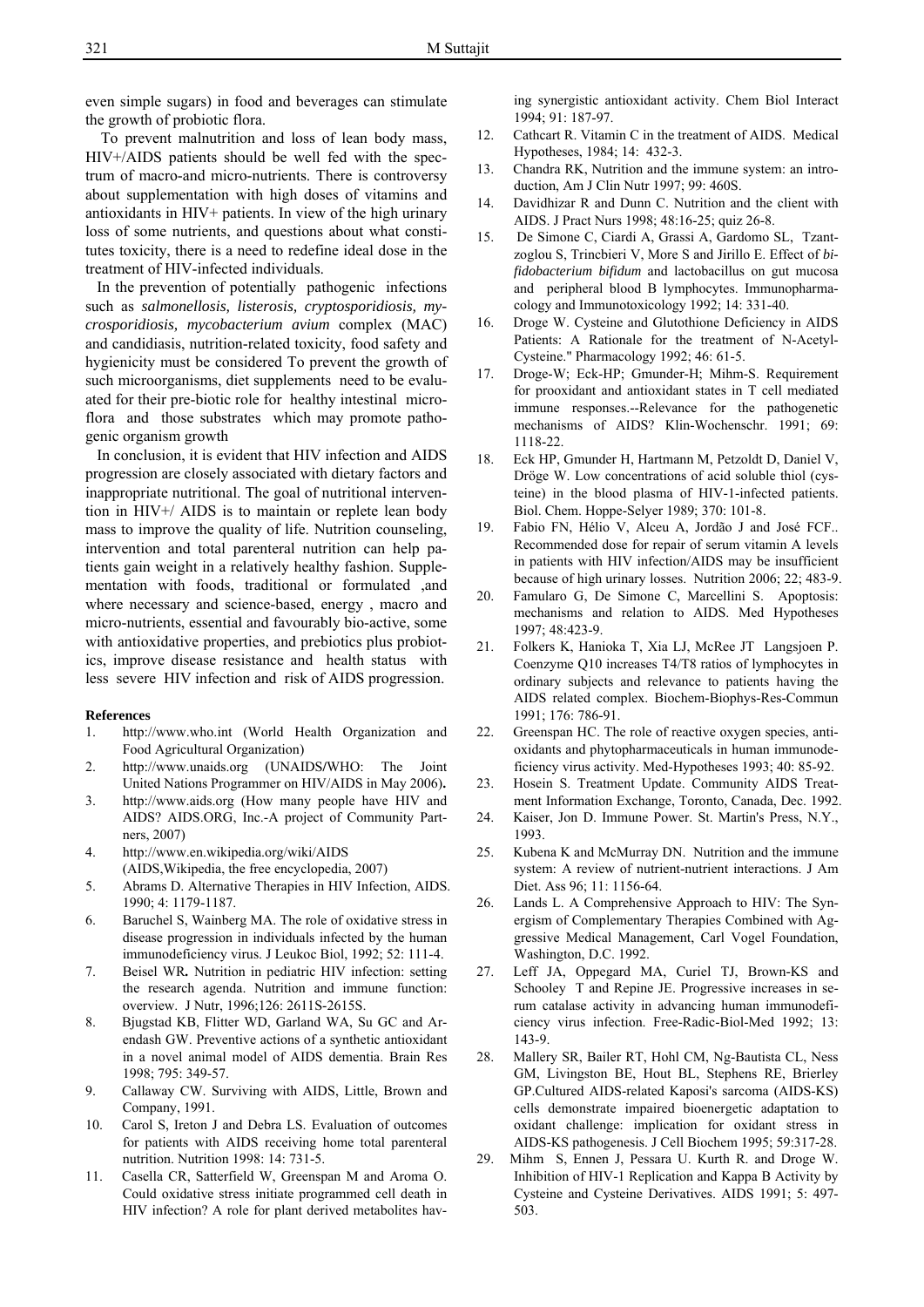even simple sugars) in food and beverages can stimulate the growth of probiotic flora.

To prevent malnutrition and loss of lean body mass, HIV+/AIDS patients should be well fed with the spectrum of macro-and micro-nutrients. There is controversy about supplementation with high doses of vitamins and antioxidants in HIV+ patients. In view of the high urinary loss of some nutrients, and questions about what constitutes toxicity, there is a need to redefine ideal dose in the treatment of HIV-infected individuals.

 In the prevention of potentially pathogenic infections such as *salmonellosis, listerosis, cryptosporidiosis, mycrosporidiosis, mycobacterium avium* complex (MAC) and candidiasis, nutrition-related toxicity, food safety and hygienicity must be considered To prevent the growth of such microorganisms, diet supplements need to be evaluated for their pre-biotic role for healthy intestinal microflora and those substrates which may promote pathogenic organism growth

 In conclusion, it is evident that HIV infection and AIDS progression are closely associated with dietary factors and inappropriate nutritional. The goal of nutritional intervention in HIV+/ AIDS is to maintain or replete lean body mass to improve the quality of life. Nutrition counseling, intervention and total parenteral nutrition can help patients gain weight in a relatively healthy fashion. Supplementation with foods, traditional or formulated ,and where necessary and science-based, energy , macro and micro-nutrients, essential and favourably bio-active, some with antioxidative properties, and prebiotics plus probiotics, improve disease resistance and health status with less severe HIV infection and risk of AIDS progression.

#### **References**

- 1. http://www.who.int (World Health Organization and Food Agricultural Organization)
- 2. http://www.unaids.org (UNAIDS**/**WHO: The Joint United Nations Programmer on HIV/AIDS in May 2006)**.**
- 3. http://www.aids.org (How many people have HIV and AIDS? AIDS.ORG, Inc.-A project of Community Partners, 2007)
- 4. http://www.en.wikipedia.org/wiki/AIDS (AIDS,Wikipedia, the free encyclopedia, 2007)
- 5. Abrams D. Alternative Therapies in HIV Infection, AIDS. 1990; 4: 1179-1187.
- 6. Baruchel S, Wainberg MA. The role of oxidative stress in disease progression in individuals infected by the human immunodeficiency virus. J Leukoc Biol, 1992; 52: 111-4.
- 7. Beisel WR*.* Nutrition in pediatric HIV infection: setting the research agenda. Nutrition and immune function: overview. J Nutr, 1996;126: 2611S-2615S.
- 8. Bjugstad KB, Flitter WD, Garland WA, Su GC and Arendash GW. Preventive actions of a synthetic antioxidant in a novel animal model of AIDS dementia. Brain Res 1998; 795: 349-57.
- 9. Callaway CW. Surviving with AIDS, Little, Brown and Company, 1991.
- 10. Carol S, Ireton J and Debra LS. Evaluation of outcomes for patients with AIDS receiving home total parenteral nutrition. Nutrition 1998: 14: 731-5.
- 11. Casella CR, Satterfield W, Greenspan M and Aroma O. Could oxidative stress initiate programmed cell death in HIV infection? A role for plant derived metabolites hav-

ing synergistic antioxidant activity. Chem Biol Interact 1994; 91: 187-97.

- 12. Cathcart R. Vitamin C in the treatment of AIDS. Medical Hypotheses, 1984; 14: 432-3.
- 13. Chandra RK, Nutrition and the immune system: an introduction, Am J Clin Nutr 1997; 99: 460S.
- 14. Davidhizar R and Dunn C. Nutrition and the client with AIDS. J Pract Nurs 1998; 48:16-25; quiz 26-8.
- 15. De Simone C, Ciardi A, Grassi A, Gardomo SL, Tzantzoglou S, Trincbieri V, More S and Jirillo E. Effect of *bifidobacterium bifidum* and lactobacillus on gut mucosa and peripheral blood B lymphocytes. Immunopharmacology and Immunotoxicology 1992; 14: 331-40.
- 16. Droge W. Cysteine and Glutothione Deficiency in AIDS Patients: A Rationale for the treatment of N-Acetyl-Cysteine." Pharmacology 1992; 46: 61-5.
- 17. Droge-W; Eck-HP; Gmunder-H; Mihm-S. Requirement for prooxidant and antioxidant states in T cell mediated immune responses.--Relevance for the pathogenetic mechanisms of AIDS? Klin-Wochenschr. 1991; 69: 1118-22.
- 18. Eck HP, Gmunder H, Hartmann M, Petzoldt D, Daniel V, Dröge W. Low concentrations of acid soluble thiol (cysteine) in the blood plasma of HIV-1-infected patients. Biol. Chem. Hoppe-Selyer 1989; 370: 101-8.
- 19. Fabio FN, Hélio V, Alceu A, Jordão J and José FCF.. Recommended dose for repair of serum vitamin A levels in patients with HIV infection/AIDS may be insufficient because of high urinary losses. Nutrition 2006; 22; 483-9.
- 20. Famularo G, De Simone C, Marcellini S. Apoptosis: mechanisms and relation to AIDS. Med Hypotheses 1997; 48:423-9.
- 21. Folkers K, Hanioka T, Xia LJ, McRee JT Langsjoen P. Coenzyme Q10 increases T4/T8 ratios of lymphocytes in ordinary subjects and relevance to patients having the AIDS related complex. Biochem-Biophys-Res-Commun 1991; 176: 786-91.
- 22. Greenspan HC. The role of reactive oxygen species, antioxidants and phytopharmaceuticals in human immunodeficiency virus activity. Med-Hypotheses 1993; 40: 85-92.
- 23. Hosein S. Treatment Update. Community AIDS Treatment Information Exchange, Toronto, Canada, Dec. 1992.
- 24. Kaiser, Jon D. Immune Power. St. Martin's Press, N.Y., 1993.
- 25. Kubena K and McMurray DN. Nutrition and the immune system: A review of nutrient-nutrient interactions. J Am Diet. Ass 96; 11: 1156-64.
- 26. Lands L. A Comprehensive Approach to HIV: The Synergism of Complementary Therapies Combined with Aggressive Medical Management, Carl Vogel Foundation, Washington, D.C. 1992.
- 27. Leff JA, Oppegard MA, Curiel TJ, Brown-KS and Schooley T and Repine JE. Progressive increases in serum catalase activity in advancing human immunodeficiency virus infection. Free-Radic-Biol-Med 1992; 13: 143-9.
- 28. Mallery SR, Bailer RT, Hohl CM, Ng-Bautista CL, Ness GM, Livingston BE, Hout BL, Stephens RE, Brierley GP.Cultured AIDS-related Kaposi's sarcoma (AIDS-KS) cells demonstrate impaired bioenergetic adaptation to oxidant challenge: implication for oxidant stress in AIDS-KS pathogenesis. J Cell Biochem 1995; 59:317-28.
- 29. Mihm S, Ennen J, Pessara U. Kurth R. and Droge W. Inhibition of HIV-1 Replication and Kappa B Activity by Cysteine and Cysteine Derivatives. AIDS 1991; 5: 497- 503.